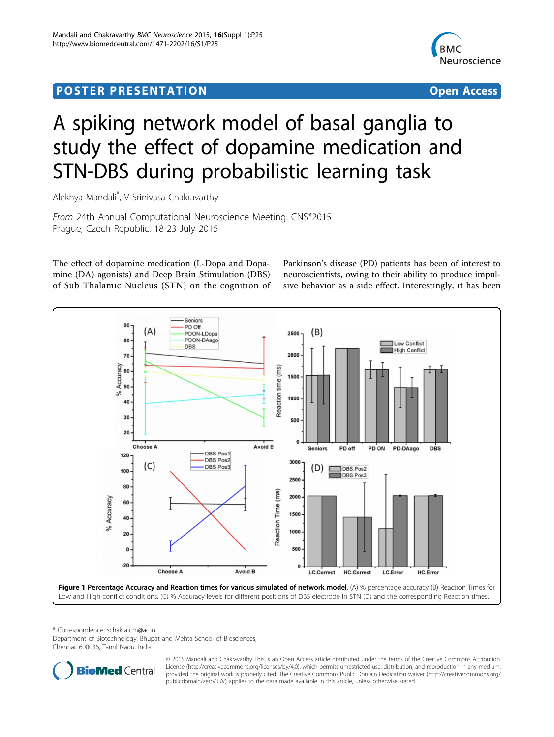## <span id="page-0-0"></span>Post Experimental Police in the St English Police in the St English Police in the St English Police in the St<br>Police in the St English Police in the St English Police in the St English Police in the St English Police in



# A spiking network model of basal ganglia to study the effect of dopamine medication and STN-DBS during probabilistic learning task

Alekhya Mandali\* , V Srinivasa Chakravarthy

From 24th Annual Computational Neuroscience Meeting: CNS\*2015 Prague, Czech Republic. 18-23 July 2015

The effect of dopamine medication (L-Dopa and Dopamine (DA) agonists) and Deep Brain Stimulation (DBS) of Sub Thalamic Nucleus (STN) on the cognition of

Parkinson's disease (PD) patients has been of interest to neuroscientists, owing to their ability to produce impulsive behavior as a side effect. Interestingly, it has been



\* Correspondence: [schakraiitm@ac.in](mailto:schakraiitm@ac.in)

Department of Biotechnology, Bhupat and Mehta School of Biosciences, Chennai, 600036, Tamil Nadu, India



© 2015 Mandali and Chakravarthy This is an Open Access article distributed under the terms of the Creative Commons Attribution License [\(http://creativecommons.org/licenses/by/4.0](http://creativecommons.org/licenses/by/4.0)), which permits unrestricted use, distribution, and reproduction in any medium, provided the original work is properly cited. The Creative Commons Public Domain Dedication waiver ([http://creativecommons.org/](http://creativecommons.org/publicdomain/zero/1.0/) [publicdomain/zero/1.0/](http://creativecommons.org/publicdomain/zero/1.0/)) applies to the data made available in this article, unless otherwise stated.